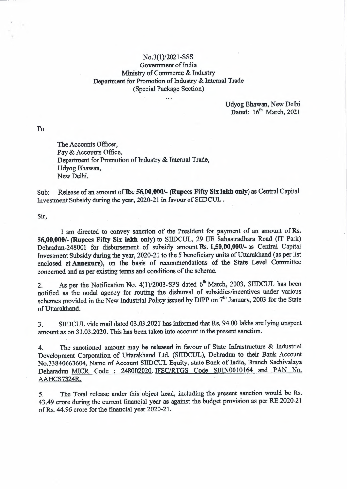## No.3(1)/2021-SSS Government of India Ministry of Commerce & Industry Department for Promotion of Industry & Internal Trade (Special Package Section)

 $\ddot{\phantom{a}}$ 

Udyog Bhawan, New Delhi Dated:  $16<sup>th</sup>$  March, 2021

To

The Accounts Officer, Pay & Accounts Office, Department for Promotion of Industry & Internal Trade, Udyog Bhawan, New Delhi.

Sub: Release of an amount of **Rs. 56,00,000/- (Rupees Fifty Six lakh only)** as Central Capital Investment Subsidy during the year, 2020-21 in favour of SIIDCUL .

Sir,

I am directed to convey sanction of the President for payment of an amount of **Rs. 56,00,000/- (Rupees Fifty Six lakh only)** to SIIDCUL, 29 TIE Sahastradhara Road (IT Park) Debradun-248001 for disbursement of subsidy amount **Rs. 1,50,00,000/-** as Central Capital Investment Subsidy during the year, 2020-21 to the *5* beneficiary units of Uttarakhand ( as per list enclosed at Annexure), on the basis of recommendations of the State Level Committee concerned and as per existing terms and conditions of the scheme.

2. As per the Notification No.  $4(1)/2003$ -SPS dated  $6<sup>th</sup>$  March, 2003, SIIDCUL has been notified as the nodal agency for routing the disbursal of subsidies/incentives under various schemes provided in the New Industrial Policy issued by DIPP on  $7<sup>th</sup>$  January, 2003 for the State of Uttarakhand.

3. SIIDCUL vide mail dated 03.03.2021 has informed that Rs. 94.00 lakhs are lying unspent amount as on 31.03.2020. This has been taken into account in the present sanction.

4. The sanctioned amount may be released in favour of State Infrastructure & Industrial Development Corporation of Uttarakhand Ltd. (SIIDCUL), Dehradun to their Bank Account No.33840663604, Name of Account SIIDCUL Equity, state Bank of India, Branch Sachivalaya Deharadun MICR Code : 248002020. IFSC/RTGS Code SBIN0010164 and PAN No. AAHCS7324R.

*5.* The Total release under this object head, including the present sanction would be Rs. 43.49 crore during the current financial year as against the budget provision as per RE.2020-21 of Rs. 44.96 crore for the financial year 2020-21.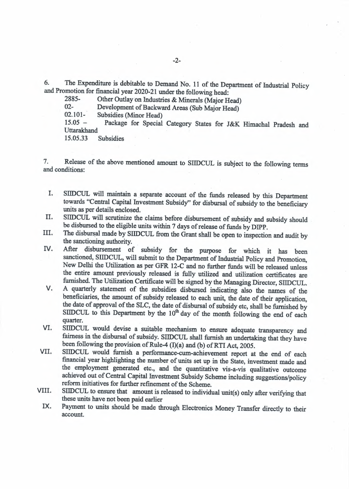6. The Expenditure is debitable to Demand No. 11 of the Department of Industrial Policy and Promotion for financial year 2020-21 under the following head:<br>2885- Other Outlav on Industries & Minerals (Major H

2885- Other Outlay on Industries & Minerals (Major Head)<br>02- Development of Backward Areas (Sub Major Head)

02- Development of Backward Areas (Sub Major Head)<br>02.101- Subsidies (Minor Head)

02.101- Subsidies (Minor Head)<br>15.05 - Package for Special

Package for Special Category States for J&K Himachal Pradesh and Uttarakhand<br>15.05.33

**Subsidies** 

7. Release of the above mentioned amount to SIIDCUL is subject to the following terms and conditions:

- I. SIIDCUL will maintain a separate account of the funds released by this Department towards "Central Capital Investment Subsidy'' for disbursal of subsidy to the beneficiary units as per details enclosed.
- II. SIIDCUL will scrutinize the claims before disbursement of subsidy and subsidy should be disbursed to the eligible units within 7 days of release of funds by DIPP.
- III. The disbursal made by SIIDCUL from the Grant shall be open to inspection and audit by the sanctioning authority.
- IV. After disbursement of subsidy for the purpose for which it has been sanctioned, SIIDCUL, will submit to the Department of Industrial Policy and Promotion, New Delhi the Utilization as per GFR 12-C and no further funds will be released unless the entire amount previously released is fully utilized and utilization certificates are furnished. The Utilization Certificate will be signed by the Managing Director, SIIDCUL.
- V. A quarterly statement of the subsidies disbursed indicating also the names of the beneficiaries, the amount of subsidy released to each unit, the date of their application, the date of approval of the SLC, the date of disbursal of subsidy etc, shall be furnished by SIIDCUL to this Department by the  $10<sup>th</sup>$  day of the month following the end of each quarter.
- VI. SIIDCUL would devise a suitable mechanism to ensure adequate transparency and fairness in the disbursal of subsidy. SIIDCUL shall furnish an undertaking that they have been following the provision of Rule-4 (I)(a) and (b) of RTI Act, 2005.
- VII. SIIDCUL would furnish a performance-cum-achievement report at the end of each financial year highlighting the number of units set up in the State, investment made and the employment generated etc., and the quantitative vis-a-vis qualitative outcome achieved out of Central Capital Investment Subsidy Scheme including suggestions/policy reform initiatives for further refinement of the Scheme.
- VIII. SIIDCUL to ensure that amount is released to individual unit(s) only after verifying that these units have not been paid earlier
	- IX. Payment to units should be made through Electronics Money Transfer directly to their account.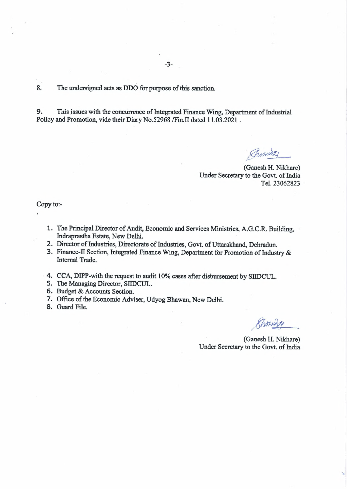8. The undersigned acts as DDO for purpose of this sanction.

9. This issues with the concurrence of Integrated Finance Wing, Department of Industrial Policy and Promotion, vide their Diary No.52968 /Fin.IT dated 11.03.2021 .

*a . \\_\_*   $\sqrt{h}$  *MS01021* 

(Ganesh H. Nikhare) Under Secretary to the Govt. of India Tel. 23062823

Copy to:-

- 1. The Principal Director of Audit, Economic and Services Ministries, A.G.C.R. Building, Indraprastha Estate, New Delhi.
- 2. Director of Industries, Directorate of Industries, Govt. of Uttarakhand, Dehradun.
- 3. Finance-II Section, Integrated Finance Wing, Department for Promotion of Industry & Internal Trade.
- 4. CCA, DIPP-with the request to audit 10% cases after disbursement by SllDCUL.
- 5. The Managing Director, SllDCUL.
- 6. Budget & Accounts Section.
- 7. Office of the Economic Adviser, Udyog Bhawan, New Delhi.
- 8. Guard File.

forming of the set of the set of the set of the set of the set of the set of the set of the set of the set of the set of the set of the set of the set of the set of the set of the set of the set of the set of the set of th

(Ganesh H. Nikhare) Under Secretary to the Govt. of India